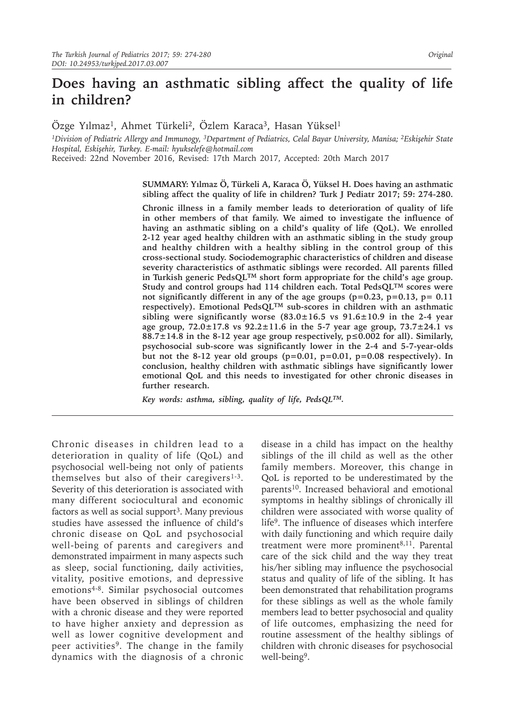# **Does having an asthmatic sibling affect the quality of life in children?**

Özge Yılmaz1, Ahmet Türkeli2, Özlem Karaca3, Hasan Yüksel1

*1Division of Pediatric Allergy and Immunogy, 3Department of Pediatrics, Celal Bayar University, Manisa; <sup>2</sup>Eskişehir State Hospital, Eskişehir, Turkey. E-mail: hyukselefe@hotmail.com*

Received: 22nd November 2016, Revised: 17th March 2017, Accepted: 20th March 2017

**SUMMARY: Yılmaz Ö, Türkeli A, Karaca Ö, Yüksel H. Does having an asthmatic sibling affect the quality of life in children? Turk J Pediatr 2017; 59: 274-280.** 

**Chronic illness in a family member leads to deterioration of quality of life in other members of that family. We aimed to investigate the influence of having an asthmatic sibling on a child's quality of life (QoL). We enrolled 2-12 year aged healthy children with an asthmatic sibling in the study group and healthy children with a healthy sibling in the control group of this cross-sectional study. Sociodemographic characteristics of children and disease severity characteristics of asthmatic siblings were recorded. All parents filled in Turkish generic PedsQLTM short form appropriate for the child's age group. Study and control groups had 114 children each. Total PedsQLTM scores were not significantly different in any of the age groups (p=0.23, p=0.13, p= 0.11 respectively). Emotional PedsQLTM sub-scores in children with an asthmatic sibling were significantly worse (83.0±16.5 vs 91.6±10.9 in the 2-4 year age group, 72.0±17.8 vs 92.2±11.6 in the 5-7 year age group, 73.7±24.1 vs 88.7±14.8 in the 8-12 year age group respectively, p≤0.002 for all). Similarly, psychosocial sub-score was significantly lower in the 2-4 and 5-7-year-olds but not the 8-12 year old groups (p=0.01, p=0.01, p=0.08 respectively). In conclusion, healthy children with asthmatic siblings have significantly lower emotional QoL and this needs to investigated for other chronic diseases in further research.** 

*Key words: asthma, sibling, quality of life, PedsQLTM.*

Chronic diseases in children lead to a deterioration in quality of life (QoL) and psychosocial well-being not only of patients themselves but also of their caregivers $1-3$ . Severity of this deterioration is associated with many different sociocultural and economic factors as well as social support<sup>3</sup>. Many previous studies have assessed the influence of child's chronic disease on QoL and psychosocial well-being of parents and caregivers and demonstrated impairment in many aspects such as sleep, social functioning, daily activities, vitality, positive emotions, and depressive emotions4-8. Similar psychosocial outcomes have been observed in siblings of children with a chronic disease and they were reported to have higher anxiety and depression as well as lower cognitive development and peer activities<sup>9</sup>. The change in the family dynamics with the diagnosis of a chronic

disease in a child has impact on the healthy siblings of the ill child as well as the other family members. Moreover, this change in QoL is reported to be underestimated by the parents<sup>10</sup>. Increased behavioral and emotional symptoms in healthy siblings of chronically ill children were associated with worse quality of life9. The influence of diseases which interfere with daily functioning and which require daily treatment were more prominent<sup>8,11</sup>. Parental care of the sick child and the way they treat his/her sibling may influence the psychosocial status and quality of life of the sibling. It has been demonstrated that rehabilitation programs for these siblings as well as the whole family members lead to better psychosocial and quality of life outcomes, emphasizing the need for routine assessment of the healthy siblings of children with chronic diseases for psychosocial well-being<sup>9</sup>.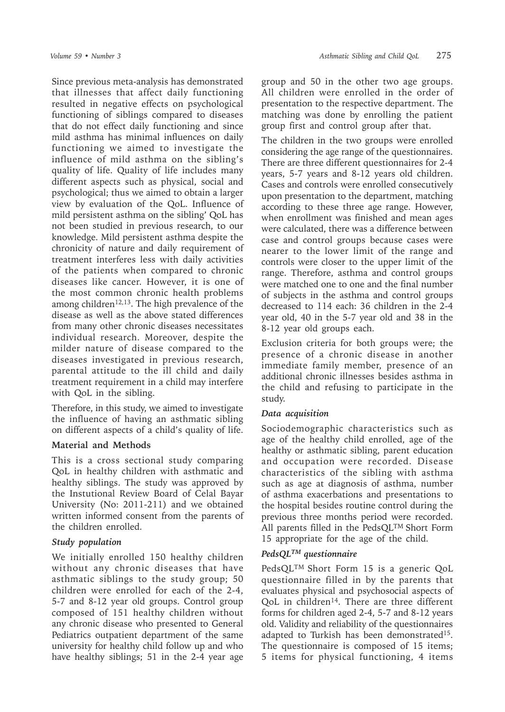Since previous meta-analysis has demonstrated that illnesses that affect daily functioning resulted in negative effects on psychological functioning of siblings compared to diseases that do not effect daily functioning and since mild asthma has minimal influences on daily functioning we aimed to investigate the influence of mild asthma on the sibling's quality of life. Quality of life includes many different aspects such as physical, social and psychological; thus we aimed to obtain a larger view by evaluation of the QoL. Influence of mild persistent asthma on the sibling' QoL has not been studied in previous research, to our knowledge. Mild persistent asthma despite the chronicity of nature and daily requirement of treatment interferes less with daily activities of the patients when compared to chronic diseases like cancer. However, it is one of the most common chronic health problems among children<sup>12,13</sup>. The high prevalence of the disease as well as the above stated differences from many other chronic diseases necessitates individual research. Moreover, despite the milder nature of disease compared to the diseases investigated in previous research, parental attitude to the ill child and daily treatment requirement in a child may interfere with QoL in the sibling.

Therefore, in this study, we aimed to investigate the influence of having an asthmatic sibling on different aspects of a child's quality of life.

# **Material and Methods**

This is a cross sectional study comparing QoL in healthy children with asthmatic and healthy siblings. The study was approved by the Instutional Review Board of Celal Bayar University (No: 2011-211) and we obtained written informed consent from the parents of the children enrolled.

# *Study population*

We initially enrolled 150 healthy children without any chronic diseases that have asthmatic siblings to the study group; 50 children were enrolled for each of the 2-4, 5-7 and 8-12 year old groups. Control group composed of 151 healthy children without any chronic disease who presented to General Pediatrics outpatient department of the same university for healthy child follow up and who have healthy siblings; 51 in the 2-4 year age

group and 50 in the other two age groups. All children were enrolled in the order of presentation to the respective department. The matching was done by enrolling the patient group first and control group after that.

The children in the two groups were enrolled considering the age range of the questionnaires. There are three different questionnaires for 2-4 years, 5-7 years and 8-12 years old children. Cases and controls were enrolled consecutively upon presentation to the department, matching according to these three age range. However, when enrollment was finished and mean ages were calculated, there was a difference between case and control groups because cases were nearer to the lower limit of the range and controls were closer to the upper limit of the range. Therefore, asthma and control groups were matched one to one and the final number of subjects in the asthma and control groups decreased to 114 each: 36 children in the 2-4 year old, 40 in the 5-7 year old and 38 in the 8-12 year old groups each.

Exclusion criteria for both groups were; the presence of a chronic disease in another immediate family member, presence of an additional chronic illnesses besides asthma in the child and refusing to participate in the study.

# *Data acquisition*

Sociodemographic characteristics such as age of the healthy child enrolled, age of the healthy or asthmatic sibling, parent education and occupation were recorded. Disease characteristics of the sibling with asthma such as age at diagnosis of asthma, number of asthma exacerbations and presentations to the hospital besides routine control during the previous three months period were recorded. All parents filled in the PedsQL<sup>TM</sup> Short Form 15 appropriate for the age of the child.

# *PedsQLTM questionnaire*

PedsQLTM Short Form 15 is a generic QoL questionnaire filled in by the parents that evaluates physical and psychosocial aspects of QoL in children<sup>14</sup>. There are three different forms for children aged 2-4, 5-7 and 8-12 years old. Validity and reliability of the questionnaires adapted to Turkish has been demonstrated15. The questionnaire is composed of 15 items; 5 items for physical functioning, 4 items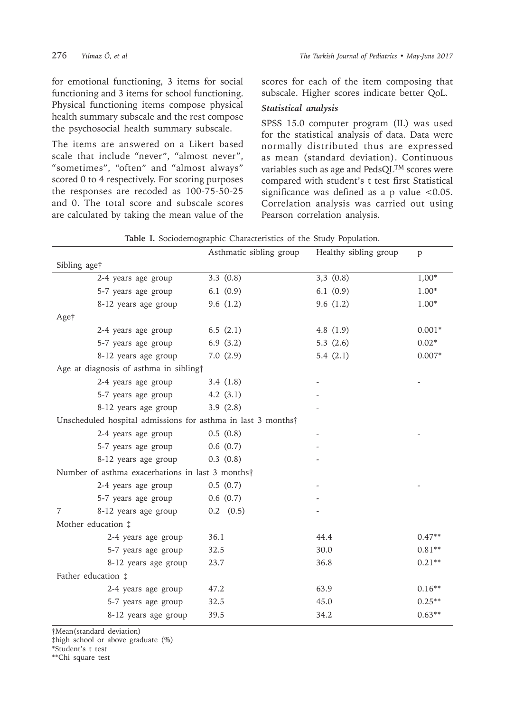for emotional functioning, 3 items for social functioning and 3 items for school functioning. Physical functioning items compose physical health summary subscale and the rest compose the psychosocial health summary subscale.

The items are answered on a Likert based scale that include "never", "almost never", "sometimes", "often" and "almost always" scored 0 to 4 respectively. For scoring purposes the responses are recoded as 100-75-50-25 and 0. The total score and subscale scores are calculated by taking the mean value of the

scores for each of the item composing that subscale. Higher scores indicate better QoL.

# *Statistical analysis*

SPSS 15.0 computer program (IL) was used for the statistical analysis of data. Data were normally distributed thus are expressed as mean (standard deviation). Continuous variables such as age and PedsQLTM scores were compared with student's t test first Statistical significance was defined as a p value  $< 0.05$ . Correlation analysis was carried out using Pearson correlation analysis.

|                                                              |                      | Asthmatic sibling group | Healthy sibling group | p        |  |  |  |
|--------------------------------------------------------------|----------------------|-------------------------|-----------------------|----------|--|--|--|
| Sibling age†                                                 |                      |                         |                       |          |  |  |  |
|                                                              | 2-4 years age group  | 3.3(0.8)                | 3,3(0.8)              | $1,00*$  |  |  |  |
|                                                              | 5-7 years age group  | 6.1(0.9)                | 6.1(0.9)              | $1.00*$  |  |  |  |
|                                                              | 8-12 years age group | 9.6(1.2)                | 9.6(1.2)              | $1.00*$  |  |  |  |
| Age†                                                         |                      |                         |                       |          |  |  |  |
|                                                              | 2-4 years age group  | 6.5 $(2.1)$             | 4.8 $(1.9)$           | $0.001*$ |  |  |  |
|                                                              | 5-7 years age group  | 6.9(3.2)                | 5.3 $(2.6)$           | $0.02*$  |  |  |  |
|                                                              | 8-12 years age group | 7.0(2.9)                | 5.4 $(2.1)$           | $0.007*$ |  |  |  |
| Age at diagnosis of asthma in sibling†                       |                      |                         |                       |          |  |  |  |
|                                                              | 2-4 years age group  | 3.4(1.8)                |                       |          |  |  |  |
|                                                              | 5-7 years age group  | 4.2(3.1)                |                       |          |  |  |  |
|                                                              | 8-12 years age group | 3.9(2.8)                |                       |          |  |  |  |
| Unscheduled hospital admissions for asthma in last 3 months† |                      |                         |                       |          |  |  |  |
|                                                              | 2-4 years age group  | 0.5(0.8)                |                       |          |  |  |  |
|                                                              | 5-7 years age group  | 0.6(0.7)                |                       |          |  |  |  |
|                                                              | 8-12 years age group | 0.3(0.8)                |                       |          |  |  |  |
| Number of asthma exacerbations in last 3 months†             |                      |                         |                       |          |  |  |  |
|                                                              | 2-4 years age group  | 0.5(0.7)                |                       |          |  |  |  |
|                                                              | 5-7 years age group  | 0.6(0.7)                |                       |          |  |  |  |
| 7                                                            | 8-12 years age group | $0.2$ $(0.5)$           |                       |          |  |  |  |
| Mother education $\ddagger$                                  |                      |                         |                       |          |  |  |  |
|                                                              | 2-4 years age group  | 36.1                    | 44.4                  | $0.47**$ |  |  |  |
|                                                              | 5-7 years age group  | 32.5                    | 30.0                  | $0.81**$ |  |  |  |
|                                                              | 8-12 years age group | 23.7                    | 36.8                  | $0.21**$ |  |  |  |
| Father education $\ddagger$                                  |                      |                         |                       |          |  |  |  |
|                                                              | 2-4 years age group  | 47.2                    | 63.9                  | $0.16**$ |  |  |  |
|                                                              | 5-7 years age group  | 32.5                    | 45.0                  | $0.25**$ |  |  |  |
|                                                              | 8-12 years age group | 39.5                    | 34.2                  | $0.63**$ |  |  |  |
|                                                              |                      |                         |                       |          |  |  |  |

**Table I.** Sociodemographic Characteristics of the Study Population.

†Mean(standard deviation)

‡high school or above graduate (%)

\*Student's t test

\*\*Chi square test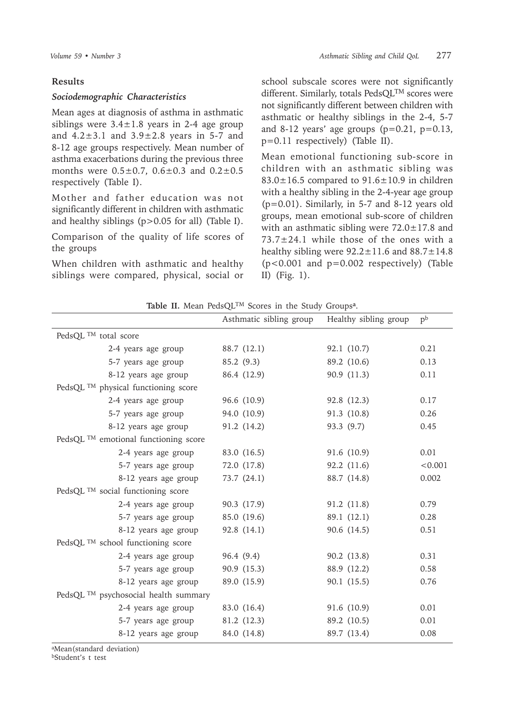#### **Results**

#### *Sociodemographic Characteristics*

Mean ages at diagnosis of asthma in asthmatic siblings were  $3.4 \pm 1.8$  years in 2-4 age group and  $4.2 \pm 3.1$  and  $3.9 \pm 2.8$  years in 5-7 and 8-12 age groups respectively. Mean number of asthma exacerbations during the previous three months were  $0.5 \pm 0.7$ ,  $0.6 \pm 0.3$  and  $0.2 \pm 0.5$ respectively (Table I).

Mother and father education was not significantly different in children with asthmatic and healthy siblings (p>0.05 for all) (Table I).

Comparison of the quality of life scores of the groups

When children with asthmatic and healthy siblings were compared, physical, social or school subscale scores were not significantly different. Similarly, totals PedsQL<sup>TM</sup> scores were not significantly different between children with asthmatic or healthy siblings in the 2-4, 5-7 and 8-12 years' age groups  $(p=0.21, p=0.13,$ p=0.11 respectively) (Table II).

Mean emotional functioning sub-score in children with an asthmatic sibling was  $83.0 \pm 16.5$  compared to  $91.6 \pm 10.9$  in children with a healthy sibling in the 2-4-year age group (p=0.01). Similarly, in 5-7 and 8-12 years old groups, mean emotional sub-score of children with an asthmatic sibling were  $72.0 \pm 17.8$  and 73.7±24.1 while those of the ones with a healthy sibling were  $92.2 \pm 11.6$  and  $88.7 \pm 14.8$ (p<0.001 and p=0.002 respectively) (Table II) (Fig. 1).

|  |  |  | Table II. Mean PedsQL <sup>TM</sup> Scores in the Study Groups <sup>a</sup> . |  |  |  |  |  |
|--|--|--|-------------------------------------------------------------------------------|--|--|--|--|--|
|--|--|--|-------------------------------------------------------------------------------|--|--|--|--|--|

|                                                  | Asthmatic sibling group | Healthy sibling group | p <sup>b</sup> |
|--------------------------------------------------|-------------------------|-----------------------|----------------|
| PedsQL $^{TM}$ total score                       |                         |                       |                |
| 2-4 years age group                              | 88.7 (12.1)             | 92.1 (10.7)           | 0.21           |
| 5-7 years age group                              | 85.2 (9.3)              | 89.2 (10.6)           | 0.13           |
| 8-12 years age group                             | 86.4 (12.9)             | 90.9 (11.3)           | 0.11           |
| PedsQL <sup>TM</sup> physical functioning score  |                         |                       |                |
| 2-4 years age group                              | 96.6 (10.9)             | 92.8 (12.3)           | 0.17           |
| 5-7 years age group                              | 94.0 (10.9)             | 91.3 (10.8)           | 0.26           |
| 8-12 years age group                             | 91.2 (14.2)             | 93.3 (9.7)            | 0.45           |
| PedsQL $^{TM}$ emotional functioning score       |                         |                       |                |
| 2-4 years age group                              | 83.0 (16.5)             | 91.6 (10.9)           | 0.01           |
| 5-7 years age group                              | 72.0 (17.8)             | 92.2 (11.6)           | < 0.001        |
| 8-12 years age group                             | 73.7 (24.1)             | 88.7 (14.8)           | 0.002          |
| PedsQL <sup>TM</sup> social functioning score    |                         |                       |                |
| 2-4 years age group                              | 90.3 (17.9)             | 91.2 (11.8)           | 0.79           |
| 5-7 years age group                              | 85.0 (19.6)             | 89.1 (12.1)           | 0.28           |
| 8-12 years age group                             | 92.8 (14.1)             | 90.6 (14.5)           | 0.51           |
| PedsQL <sup>TM</sup> school functioning score    |                         |                       |                |
| 2-4 years age group                              | 96.4 (9.4)              | 90.2 (13.8)           | 0.31           |
| 5-7 years age group                              | 90.9 (15.3)             | 88.9 (12.2)           | 0.58           |
| 8-12 years age group                             | 89.0 (15.9)             | 90.1 (15.5)           | 0.76           |
| PedsQL <sup>TM</sup> psychosocial health summary |                         |                       |                |
| 2-4 years age group                              | 83.0 (16.4)             | 91.6 (10.9)           | 0.01           |
| 5-7 years age group                              | 81.2 (12.3)             | 89.2 (10.5)           | 0.01           |
| 8-12 years age group                             | 84.0 (14.8)             | 89.7 (13.4)           | 0.08           |

aMean(standard deviation)

bStudent's t test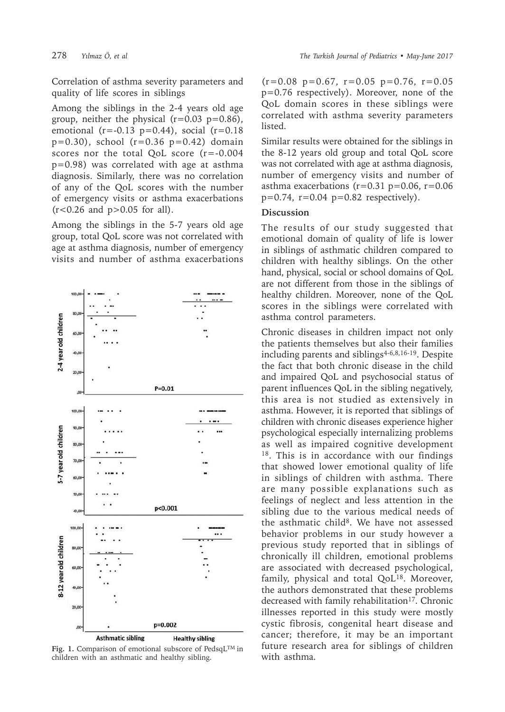80,0

60.0

 $40,0$ 

20,0

100,00

90,0

2-4 year old children

Correlation of asthma severity parameters and quality of life scores in siblings

Among the siblings in the 2-4 years old age group, neither the physical  $(r=0.03 \text{ p}=0.86)$ , emotional ( $r = -0.13$   $p = 0.44$ ), social ( $r = 0.18$  $p=0.30$ ), school ( $r=0.36$   $p=0.42$ ) domain scores nor the total QoL score (r=-0.004 p=0.98) was correlated with age at asthma diagnosis. Similarly, there was no correlation of any of the QoL scores with the number of emergency visits or asthma exacerbations  $(r < 0.26$  and  $p > 0.05$  for all).

Among the siblings in the 5-7 years old age group, total QoL score was not correlated with age at asthma diagnosis, number of emergency visits and number of asthma exacerbations



 $P = 0.01$ 

 $\ddotsc$ 

**Fig. 1.** Comparison of emotional subscore of PedsqLTM in children with an asthmatic and healthy sibling.

 $(r=0.08 \text{ p}=0.67, r=0.05 \text{ p}=0.76, r=0.05$ p=0.76 respectively). Moreover, none of the QoL domain scores in these siblings were correlated with asthma severity parameters listed.

Similar results were obtained for the siblings in the 8-12 years old group and total QoL score was not correlated with age at asthma diagnosis, number of emergency visits and number of asthma exacerbations  $(r=0.31 \text{ p}=0.06, r=0.06)$  $p=0.74$ ,  $r=0.04$   $p=0.82$  respectively).

#### **Discussion**

The results of our study suggested that emotional domain of quality of life is lower in siblings of asthmatic children compared to children with healthy siblings. On the other hand, physical, social or school domains of QoL are not different from those in the siblings of healthy children. Moreover, none of the QoL scores in the siblings were correlated with asthma control parameters.

Chronic diseases in children impact not only the patients themselves but also their families including parents and siblings<sup>4-6,8,16-19</sup>. Despite the fact that both chronic disease in the child and impaired QoL and psychosocial status of parent influences QoL in the sibling negatively, this area is not studied as extensively in asthma. However, it is reported that siblings of children with chronic diseases experience higher psychological especially internalizing problems as well as impaired cognitive development 18. This is in accordance with our findings that showed lower emotional quality of life in siblings of children with asthma. There are many possible explanations such as feelings of neglect and less attention in the sibling due to the various medical needs of the asthmatic child<sup>8</sup>. We have not assessed behavior problems in our study however a previous study reported that in siblings of chronically ill children, emotional problems are associated with decreased psychological, family, physical and total QoL<sup>18</sup>. Moreover, the authors demonstrated that these problems decreased with family rehabilitation<sup>17</sup>. Chronic illnesses reported in this study were mostly cystic fibrosis, congenital heart disease and cancer; therefore, it may be an important future research area for siblings of children with asthma.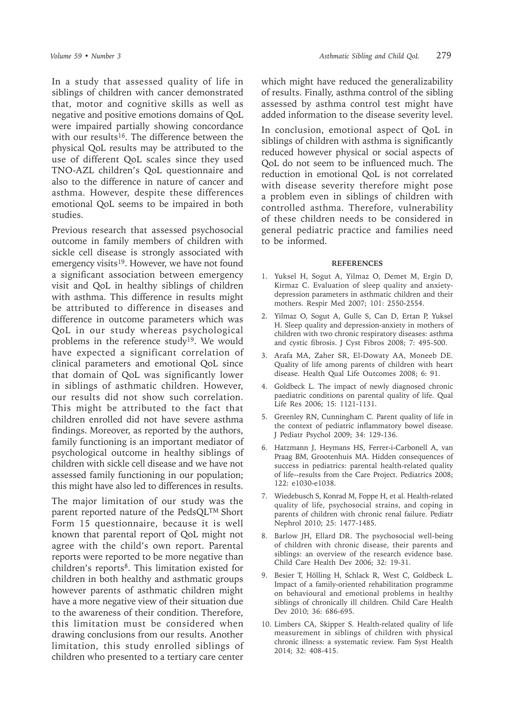In a study that assessed quality of life in siblings of children with cancer demonstrated that, motor and cognitive skills as well as negative and positive emotions domains of QoL were impaired partially showing concordance with our results<sup>16</sup>. The difference between the physical QoL results may be attributed to the use of different QoL scales since they used TNO-AZL children's QoL questionnaire and also to the difference in nature of cancer and asthma. However, despite these differences emotional QoL seems to be impaired in both studies.

Previous research that assessed psychosocial outcome in family members of children with sickle cell disease is strongly associated with emergency visits<sup>19</sup>. However, we have not found a significant association between emergency visit and QoL in healthy siblings of children with asthma. This difference in results might be attributed to difference in diseases and difference in outcome parameters which was QoL in our study whereas psychological problems in the reference study<sup>19</sup>. We would have expected a significant correlation of clinical parameters and emotional QoL since that domain of QoL was significantly lower in siblings of asthmatic children. However, our results did not show such correlation. This might be attributed to the fact that children enrolled did not have severe asthma findings. Moreover, as reported by the authors, family functioning is an important mediator of psychological outcome in healthy siblings of children with sickle cell disease and we have not assessed family functioning in our population; this might have also led to differences in results.

The major limitation of our study was the parent reported nature of the PedsQL<sup>TM</sup> Short Form 15 questionnaire, because it is well known that parental report of QoL might not agree with the child's own report. Parental reports were reported to be more negative than  $children's reports<sup>8</sup>$ . This limitation existed for children in both healthy and asthmatic groups however parents of asthmatic children might have a more negative view of their situation due to the awareness of their condition. Therefore, this limitation must be considered when drawing conclusions from our results. Another limitation, this study enrolled siblings of children who presented to a tertiary care center

which might have reduced the generalizability of results. Finally, asthma control of the sibling assessed by asthma control test might have added information to the disease severity level.

In conclusion, emotional aspect of QoL in siblings of children with asthma is significantly reduced however physical or social aspects of QoL do not seem to be influenced much. The reduction in emotional QoL is not correlated with disease severity therefore might pose a problem even in siblings of children with controlled asthma. Therefore, vulnerability of these children needs to be considered in general pediatric practice and families need to be informed.

#### **REFERENCES**

- 1. Yuksel H, Sogut A, Yilmaz O, Demet M, Ergin D, Kirmaz C. Evaluation of sleep quality and anxietydepression parameters in asthmatic children and their mothers. Respir Med 2007; 101: 2550-2554.
- 2. Yilmaz O, Sogut A, Gulle S, Can D, Ertan P, Yuksel H. Sleep quality and depression-anxiety in mothers of children with two chronic respiratory diseases: asthma and cystic fibrosis. J Cyst Fibros 2008; 7: 495-500.
- 3. Arafa MA, Zaher SR, El-Dowaty AA, Moneeb DE. Quality of life among parents of children with heart disease. Health Qual Life Outcomes 2008; 6: 91.
- 4. Goldbeck L. The impact of newly diagnosed chronic paediatric conditions on parental quality of life. Qual Life Res 2006; 15: 1121-1131.
- 5. Greenley RN, Cunningham C. Parent quality of life in the context of pediatric inflammatory bowel disease. J Pediatr Psychol 2009; 34: 129-136.
- 6. Hatzmann J, Heymans HS, Ferrer-i-Carbonell A, van Praag BM, Grootenhuis MA. Hidden consequences of success in pediatrics: parental health-related quality of life--results from the Care Project. Pediatrics 2008; 122: e1030-e1038.
- 7. Wiedebusch S, Konrad M, Foppe H, et al. Health-related quality of life, psychosocial strains, and coping in parents of children with chronic renal failure. Pediatr Nephrol 2010; 25: 1477-1485.
- 8. Barlow JH, Ellard DR. The psychosocial well-being of children with chronic disease, their parents and siblings: an overview of the research evidence base. Child Care Health Dev 2006; 32: 19-31.
- 9. Besier T, Hölling H, Schlack R, West C, Goldbeck L. Impact of a family-oriented rehabilitation programme on behavioural and emotional problems in healthy siblings of chronically ill children. Child Care Health Dev 2010; 36: 686-695.
- 10. Limbers CA, Skipper S. Health-related quality of life measurement in siblings of children with physical chronic illness: a systematic review. Fam Syst Health 2014; 32: 408-415.